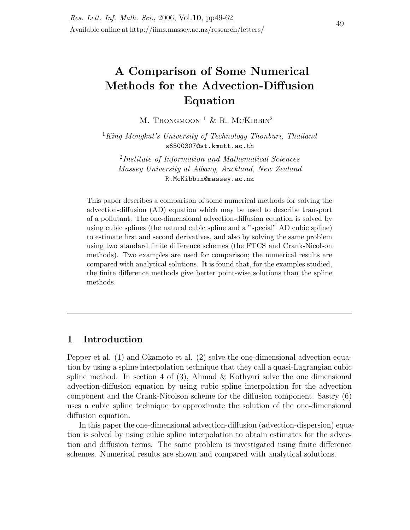# A Comparison of Some Numerical Methods for the Advection-Diffusion Equation

M. THONGMOON <sup>1</sup> & R. MCKIBBIN<sup>2</sup>

<sup>1</sup>King Mongkut's University of Technology Thonburi, Thailand s6500307@st.kmutt.ac.th

2 Institute of Information and Mathematical Sciences Massey University at Albany, Auckland, New Zealand R.McKibbin@massey.ac.nz

This paper describes a comparison of some numerical methods for solving the advection-diffusion (AD) equation which may be used to describe transport of a pollutant. The one-dimensional advection-diffusion equation is solved by using cubic splines (the natural cubic spline and a "special" AD cubic spline) to estimate first and second derivatives, and also by solving the same problem using two standard finite difference schemes (the FTCS and Crank-Nicolson methods). Two examples are used for comparison; the numerical results are compared with analytical solutions. It is found that, for the examples studied, the finite difference methods give better point-wise solutions than the spline methods.

# 1 Introduction

Pepper et al. (1) and Okamoto et al. (2) solve the one-dimensional advection equation by using a spline interpolation technique that they call a quasi-Lagrangian cubic spline method. In section 4 of  $(3)$ , Ahmad & Kothyari solve the one dimensional advection-diffusion equation by using cubic spline interpolation for the advection component and the Crank-Nicolson scheme for the diffusion component. Sastry (6) uses a cubic spline technique to approximate the solution of the one-dimensional diffusion equation.

In this paper the one-dimensional advection-diffusion (advection-dispersion) equation is solved by using cubic spline interpolation to obtain estimates for the advection and diffusion terms. The same problem is investigated using finite difference schemes. Numerical results are shown and compared with analytical solutions.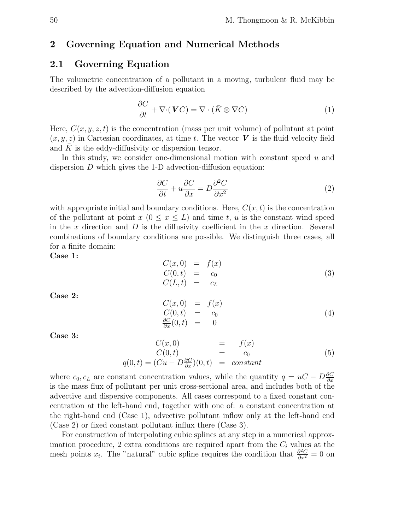# 2 Governing Equation and Numerical Methods

### 2.1 Governing Equation

The volumetric concentration of a pollutant in a moving, turbulent fluid may be described by the advection-diffusion equation

$$
\frac{\partial C}{\partial t} + \nabla \cdot (\mathbf{V}C) = \nabla \cdot (\bar{K} \otimes \nabla C) \tag{1}
$$

Here,  $C(x, y, z, t)$  is the concentration (mass per unit volume) of pollutant at point  $(x, y, z)$  in Cartesian coordinates, at time t. The vector V is the fluid velocity field and  $K$  is the eddy-diffusivity or dispersion tensor.

In this study, we consider one-dimensional motion with constant speed  $u$  and dispersion D which gives the 1-D advection-diffusion equation:

$$
\frac{\partial C}{\partial t} + u \frac{\partial C}{\partial x} = D \frac{\partial^2 C}{\partial x^2} \tag{2}
$$

with appropriate initial and boundary conditions. Here,  $C(x, t)$  is the concentration of the pollutant at point  $x (0 \le x \le L)$  and time t, u is the constant wind speed in the x direction and  $D$  is the diffusivity coefficient in the x direction. Several combinations of boundary conditions are possible. We distinguish three cases, all for a finite domain:

Case 1:

$$
C(x,0) = f(x)
$$
  
\n
$$
C(0,t) = c_0
$$
  
\n
$$
C(L,t) = c_L
$$
\n(3)

Case 2:

$$
C(x,0) = f(x)
$$
  
\n
$$
C(0,t) = c_0
$$
  
\n
$$
\frac{\partial C}{\partial x}(0,t) = 0
$$
\n(4)

Case 3:

$$
C(x, 0) = f(x)
$$
  
\n
$$
C(0,t) = Cu - D\frac{\partial C}{\partial x}(0,t) = constant
$$
\n(5)

where  $c_0, c_L$  are constant concentration values, while the quantity  $q = uC - D\frac{\partial C}{\partial x}$ is the mass flux of pollutant per unit cross-sectional area, and includes both of the advective and dispersive components. All cases correspond to a fixed constant concentration at the left-hand end, together with one of: a constant concentration at the right-hand end (Case 1), advective pollutant inflow only at the left-hand end (Case 2) or fixed constant pollutant influx there (Case 3).

For construction of interpolating cubic splines at any step in a numerical approximation procedure, 2 extra conditions are required apart from the  $C_i$  values at the mesh points x<sub>i</sub>. The "natural" cubic spline requires the condition that  $\frac{\partial^2 C}{\partial x^2} = 0$  on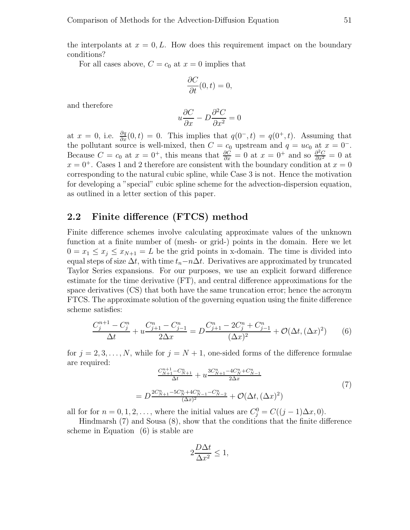the interpolants at  $x = 0, L$ . How does this requirement impact on the boundary conditions?

For all cases above,  $C = c_0$  at  $x = 0$  implies that

$$
\frac{\partial C}{\partial t}(0,t) = 0,
$$

and therefore

$$
u\frac{\partial C}{\partial x} - D\frac{\partial^2 C}{\partial x^2} = 0
$$

at  $x = 0$ , i.e.  $\frac{\partial q}{\partial x}(0, t) = 0$ . This implies that  $q(0^-, t) = q(0^+, t)$ . Assuming that the pollutant source is well-mixed, then  $C = c_0$  upstream and  $q = uc_0$  at  $x = 0^-$ . Because  $C = c_0$  at  $x = 0^+$ , this means that  $\frac{\partial \tilde{C}}{\partial x} = 0$  at  $x = 0^+$  and so  $\frac{\partial^2 C}{\partial x^2} = 0$  at  $x = 0^+$ . Cases 1 and 2 therefore are consistent with the boundary condition at  $x = 0$ corresponding to the natural cubic spline, while Case 3 is not. Hence the motivation for developing a "special" cubic spline scheme for the advection-dispersion equation, as outlined in a letter section of this paper.

### 2.2 Finite difference (FTCS) method

Finite difference schemes involve calculating approximate values of the unknown function at a finite number of (mesh- or grid-) points in the domain. Here we let  $0 = x_1 \le x_j \le x_{N+1} = L$  be the grid points in x-domain. The time is divided into equal steps of size  $\Delta t$ , with time  $t_n-n\Delta t$ . Derivatives are approximated by truncated Taylor Series expansions. For our purposes, we use an explicit forward difference estimate for the time derivative (FT), and central difference approximations for the space derivatives (CS) that both have the same truncation error; hence the acronym FTCS. The approximate solution of the governing equation using the finite difference scheme satisfies:

$$
\frac{C_j^{n+1} - C_j^n}{\Delta t} + u \frac{C_{j+1}^n - C_{j-1}^n}{2\Delta x} = D \frac{C_{j+1}^n - 2C_j^n + C_{j-1}^n}{(\Delta x)^2} + \mathcal{O}(\Delta t, (\Delta x)^2)
$$
(6)

for  $j = 2, 3, \ldots, N$ , while for  $j = N + 1$ , one-sided forms of the difference formulae are required:

$$
\frac{C_{N+1}^{n+1} - C_{N+1}^n}{\Delta t} + u \frac{3C_{N+1}^n - 4C_N^n + C_{N-1}^n}{2\Delta x}
$$
\n
$$
= D \frac{2C_{N+1}^n - 5C_N^n + 4C_{N-1}^n - C_{N-2}^n}{(\Delta x)^2} + \mathcal{O}(\Delta t, (\Delta x)^2)
$$
\n
$$
(7)
$$

all for for  $n = 0, 1, 2, \ldots$ , where the initial values are  $C_j^0 = C((j-1)\Delta x, 0)$ .

Hindmarsh (7) and Sousa (8), show that the conditions that the finite difference scheme in Equation (6) is stable are

$$
2\frac{D\Delta t}{\Delta x^2} \le 1,
$$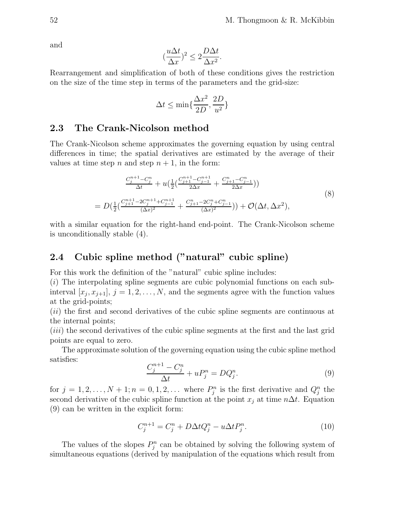and

$$
\left(\frac{u\Delta t}{\Delta x}\right)^2 \le 2\frac{D\Delta t}{\Delta x^2}.
$$

Rearrangement and simplification of both of these conditions gives the restriction on the size of the time step in terms of the parameters and the grid-size:

$$
\Delta t \le \min\{\frac{\Delta x^2}{2D}, \frac{2D}{u^2}\}
$$

# 2.3 The Crank-Nicolson method

The Crank-Nicolson scheme approximates the governing equation by using central differences in time; the spatial derivatives are estimated by the average of their values at time step n and step  $n + 1$ , in the form:

$$
\frac{C_j^{n+1} - C_j^n}{\Delta t} + u\left(\frac{1}{2}\left(\frac{C_{j+1}^{n+1} - C_{j-1}^{n+1}}{2\Delta x} + \frac{C_{j+1}^n - C_{j-1}^n}{2\Delta x}\right)\right)
$$
\n
$$
= D\left(\frac{1}{2}\left(\frac{C_{j+1}^{n+1} - 2C_j^{n+1} + C_{j-1}^{n+1}}{(\Delta x)^2} + \frac{C_{j+1}^n - 2C_j^n + C_{j-1}^n}{(\Delta x)^2}\right)\right) + \mathcal{O}(\Delta t, \Delta x^2),
$$
\n(8)

with a similar equation for the right-hand end-point. The Crank-Nicolson scheme is unconditionally stable (4).

# 2.4 Cubic spline method ("natural" cubic spline)

For this work the definition of the "natural" cubic spline includes:

 $(i)$  The interpolating spline segments are cubic polynomial functions on each subinterval  $[x_j, x_{j+1}], j = 1, 2, \ldots, N$ , and the segments agree with the function values at the grid-points;

(ii) the first and second derivatives of the cubic spline segments are continuous at the internal points;

(iii) the second derivatives of the cubic spline segments at the first and the last grid points are equal to zero.

The approximate solution of the governing equation using the cubic spline method satisfies:

$$
\frac{C_j^{n+1} - C_j^n}{\Delta t} + uP_j^n = DQ_j^n.
$$
\n
$$
(9)
$$

for  $j = 1, 2, ..., N + 1; n = 0, 1, 2, ...$  where  $P_j^n$  is the first derivative and  $Q_j^n$  the second derivative of the cubic spline function at the point  $x_j$  at time  $n\Delta t$ . Equation (9) can be written in the explicit form:

$$
C_j^{n+1} = C_j^n + D\Delta t Q_j^n - u \Delta t P_j^n. \tag{10}
$$

The values of the slopes  $P_j^n$  can be obtained by solving the following system of simultaneous equations (derived by manipulation of the equations which result from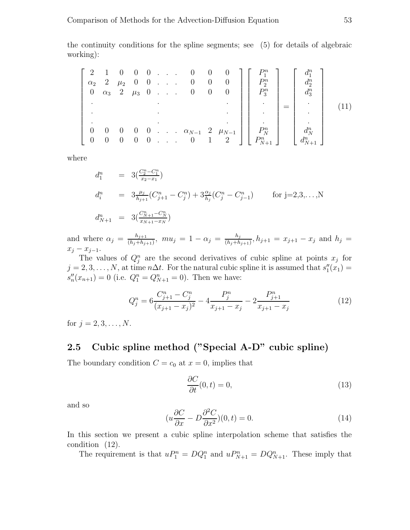the continuity conditions for the spline segments; see (5) for details of algebraic working):

|            |                   |               |  |  |                                                                                        | $\begin{bmatrix} 2 & 1 & 0 & 0 & 0 & \dots & 0 & 0 & 0 \end{bmatrix}$  |             |             |  |
|------------|-------------------|---------------|--|--|----------------------------------------------------------------------------------------|------------------------------------------------------------------------|-------------|-------------|--|
| $\alpha_2$ |                   | $2 \mu_2$ 0 0 |  |  | $0 \quad 0 \quad 0$                                                                    |                                                                        | $P_2^n$     | $d_2^n$     |  |
|            |                   |               |  |  | $0 \quad \alpha_3 \quad 2 \quad \mu_3 \quad 0 \quad . \quad . \quad 0 \quad 0 \quad 0$ |                                                                        | $P_3^n$     | $d_3^n$     |  |
|            |                   |               |  |  |                                                                                        |                                                                        |             |             |  |
|            |                   |               |  |  |                                                                                        |                                                                        |             |             |  |
|            |                   |               |  |  |                                                                                        |                                                                        |             |             |  |
| $\theta$   | $\hspace{0.6cm}0$ | $\cup$        |  |  |                                                                                        | $0 \quad 0 \quad . \quad . \quad \alpha_{N-1} \quad 2 \quad \mu_{N-1}$ | $P_N^n$     |             |  |
|            | $\overline{0}$    | $\cup$        |  |  | $0 \quad 0 \quad . \quad . \quad 0 \quad 1 \quad 2$                                    |                                                                        | $P_{N+1}^n$ | $d_{N+1}^n$ |  |

where

$$
d_1^n = 3\left(\frac{C_2^n - C_1^n}{x_2 - x_1}\right)
$$
  
\n
$$
d_i^n = 3\frac{\mu_j}{h_{j+1}}\left(C_{j+1}^n - C_j^n\right) + 3\frac{\alpha_j}{h_j}\left(C_j^n - C_{j-1}^n\right) \quad \text{for } j = 2, 3, \dots, N
$$
  
\n
$$
d_{N+1}^n = 3\left(\frac{C_{N+1}^n - C_N^n}{x_{N+1} - x_N}\right)
$$

and where  $\alpha_j = \frac{h_{j+1}}{(h_j+h_j)}$  $\frac{h_{j+1}}{(h_j+h_{j+1})}$ ,  $mu_j = 1 - \alpha_j = \frac{h_j}{(h_j+h_j)}$  $\frac{n_j}{(h_j+h_{j+1})}, h_{j+1} = x_{j+1} - x_j$  and  $h_j =$  $x_j - x_{j-1}.$ 

The values of  $Q_j^n$  are the second derivatives of cubic spline at points  $x_j$  for  $j = 2, 3, \ldots, N$ , at time  $n\Delta t$ . For the natural cubic spline it is assumed that  $s''_1$  $''_1(x_1) =$  $\overline{s''_n}$  $u_n''(x_{n+1}) = 0$  (i.e.  $Q_1^n = Q_{N+1}^n = 0$ ). Then we have:

$$
Q_j^n = 6 \frac{C_{j+1}^n - C_j^n}{(x_{j+1} - x_j)^2} - 4 \frac{P_j^n}{x_{j+1} - x_j} - 2 \frac{P_{j+1}^n}{x_{j+1} - x_j} \tag{12}
$$

for  $j = 2, 3, ..., N$ .

# 2.5 Cubic spline method ("Special A-D" cubic spline)

The boundary condition  $C = c_0$  at  $x = 0$ , implies that

$$
\frac{\partial C}{\partial t}(0,t) = 0,\t\t(13)
$$

and so

$$
(u\frac{\partial C}{\partial x} - D\frac{\partial^2 C}{\partial x^2})(0, t) = 0.
$$
\n(14)

In this section we present a cubic spline interpolation scheme that satisfies the condition (12).

The requirement is that  $uP_1^n = DQ_1^n$  and  $uP_{N+1}^n = DQ_{N+1}^n$ . These imply that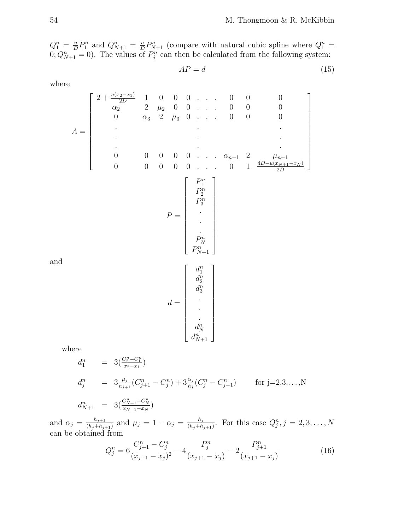$Q_1^n = \frac{u}{D}$  $\frac{u}{D}P_1^n$  and  $Q_{N+1}^n = \frac{u}{D}$  $\frac{u}{D}P_{N+1}^n$  (compare with natural cubic spline where  $Q_1^n =$  $(0; Q_{N+1}^n = 0)$ . The values of  $P_j^n$  can then be calculated from the following system:

$$
AP = d \tag{15}
$$

where

$$
A = \begin{bmatrix} 2 + \frac{u(x_2 - x_1)}{2D} & 1 & 0 & 0 & 0 & \dots & 0 & 0 & 0 & 0 \\ \alpha_2 & 2 & \mu_2 & 0 & 0 & \dots & 0 & 0 & 0 & 0 \\ \vdots & & & & & & & & & \\ 0 & \alpha_3 & 2 & \mu_3 & 0 & \dots & 0 & 0 & 0 & 0 \\ \vdots & & & & & & & & & \\ 0 & 0 & 0 & 0 & 0 & \dots & \alpha_{n-1} & 2 & \mu_{n-1} \\ 0 & 0 & 0 & 0 & 0 & \dots & 0 & 1 & \frac{4D - u(x_{N+1} - x_N)}{2D} \end{bmatrix}
$$

$$
P = \begin{bmatrix} P_1^n \\ P_2^n \\ P_3^n \\ \vdots \\ P_{N+1}^n \end{bmatrix}
$$

$$
d = \begin{bmatrix} d_1^n \\ d_2^n \\ d_3^n \\ \vdots \\ d_N^n \\ d_N^n \end{bmatrix}
$$

and

where  
\n
$$
d_1^n = 3(\frac{C_2^n - C_1^n}{x_2 - x_1})
$$
\n
$$
d_j^n = 3\frac{\mu_j}{h_{j+1}}(C_{j+1}^n - C_j^n) + 3\frac{\alpha_j}{h_j}(C_j^n - C_{j-1}^n) \quad \text{for } j = 2, 3, ..., N
$$
\n
$$
d_{N+1}^n = 3(\frac{C_{N+1}^n - C_N^n}{x_{N+1} - x_N})
$$

and  $\alpha_j = \frac{h_{j+1}}{(h_j+h_j)}$  $\frac{h_{j+1}}{(h_j+h_{j+1})}$  and  $\mu_j = 1 - \alpha_j = \frac{h_j}{(h_j+h_j)}$  $\frac{h_j}{(h_j+h_{j+1})}$ . For this case  $Q_j^n$ ,  $j=2,3,\ldots,N$ can be obtained from

$$
Q_j^n = 6 \frac{C_{j+1}^n - C_j^n}{(x_{j+1} - x_j)^2} - 4 \frac{P_j^n}{(x_{j+1} - x_j)} - 2 \frac{P_{j+1}^n}{(x_{j+1} - x_j)}
$$
(16)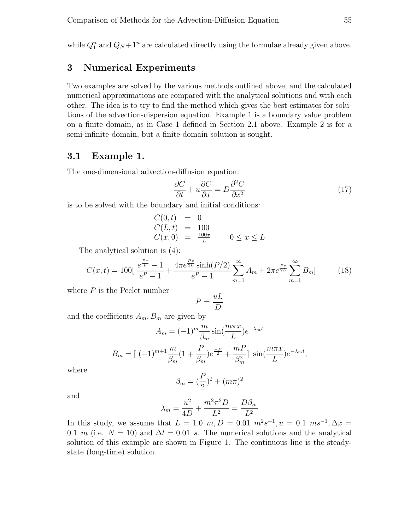while  $Q_1^n$  and  $Q_N + 1^n$  are calculated directly using the formulae already given above.

# 3 Numerical Experiments

Two examples are solved by the various methods outlined above, and the calculated numerical approximations are compared with the analytical solutions and with each other. The idea is to try to find the method which gives the best estimates for solutions of the advection-dispersion equation. Example 1 is a boundary value problem on a finite domain, as in Case 1 defined in Section 2.1 above. Example 2 is for a semi-infinite domain, but a finite-domain solution is sought.

### 3.1 Example 1.

The one-dimensional advection-diffusion equation:

$$
\frac{\partial C}{\partial t} + u \frac{\partial C}{\partial x} = D \frac{\partial^2 C}{\partial x^2}
$$
 (17)

is to be solved with the boundary and initial conditions:

$$
C(0, t) = 0\n C(L, t) = 100\n C(x, 0) = \frac{100x}{L} \qquad 0 \le x \le L
$$

The analytical solution is (4):

$$
C(x,t) = 100\left[\frac{e^{\frac{Px}{L}} - 1}{e^P - 1} + \frac{4\pi e^{\frac{Px}{2L}}\sinh(P/2)}{e^P - 1}\sum_{m=1}^{\infty} A_m + 2\pi e^{\frac{Px}{2L}}\sum_{m=1}^{\infty} B_m\right]
$$
(18)

where  $P$  is the Peclet number

$$
P = \frac{uL}{D}
$$

and the coefficients  $A_m$ ,  $B_m$  are given by

$$
A_m = (-1)^m \frac{m}{\beta_m} \sin\left(\frac{m\pi x}{L}\right) e^{-\lambda_m t}
$$

$$
B_m = \left[ (-1)^{m+1} \frac{m}{\beta_m} \left(1 + \frac{P}{\beta_m}\right) e^{-\frac{P}{2}} + \frac{mP}{\beta_m^2} \right] \sin\left(\frac{m\pi x}{L}\right) e^{-\lambda_m t},
$$

where

$$
\beta_m = (\frac{P}{2})^2 + (m\pi)^2
$$

and

$$
\lambda_m = \frac{u^2}{4D} + \frac{m^2 \pi^2 D}{L^2} = \frac{D\beta_m}{L^2}
$$

In this study, we assume that  $L = 1.0 \, m, D = 0.01 \, m^2 s^{-1}, u = 0.1 \, ms^{-1}, \Delta x =$ 0.1 m (i.e.  $N = 10$ ) and  $\Delta t = 0.01$  s. The numerical solutions and the analytical solution of this example are shown in Figure 1. The continuous line is the steadystate (long-time) solution.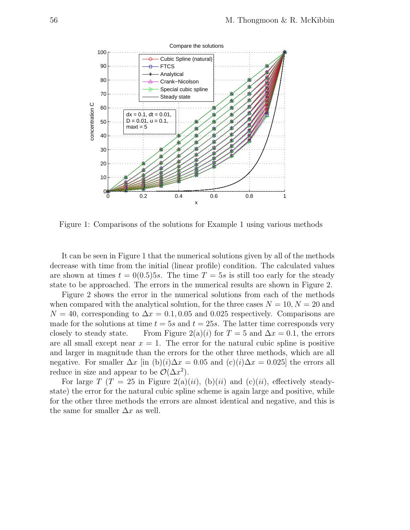

Figure 1: Comparisons of the solutions for Example 1 using various methods

It can be seen in Figure 1 that the numerical solutions given by all of the methods decrease with time from the initial (linear profile) condition. The calculated values are shown at times  $t = 0(0.5)5s$ . The time  $T = 5s$  is still too early for the steady state to be approached. The errors in the numerical results are shown in Figure 2.

Figure 2 shows the error in the numerical solutions from each of the methods when compared with the analytical solution, for the three cases  $N = 10, N = 20$  and  $N = 40$ , corresponding to  $\Delta x = 0.1, 0.05$  and 0.025 respectively. Comparisons are made for the solutions at time  $t = 5s$  and  $t = 25s$ . The latter time corresponds very closely to steady state. From Figure 2(a)(i) for  $T = 5$  and  $\Delta x = 0.1$ , the errors are all small except near  $x = 1$ . The error for the natural cubic spline is positive and larger in magnitude than the errors for the other three methods, which are all negative. For smaller  $\Delta x$  [in (b)(i) $\Delta x = 0.05$  and (c)(i) $\Delta x = 0.025$ ] the errors all reduce in size and appear to be  $\mathcal{O}(\Delta x^2)$ .

For large T (T = 25 in Figure 2(a)(ii), (b)(ii) and (c)(ii), effectively steadystate) the error for the natural cubic spline scheme is again large and positive, while for the other three methods the errors are almost identical and negative, and this is the same for smaller  $\Delta x$  as well.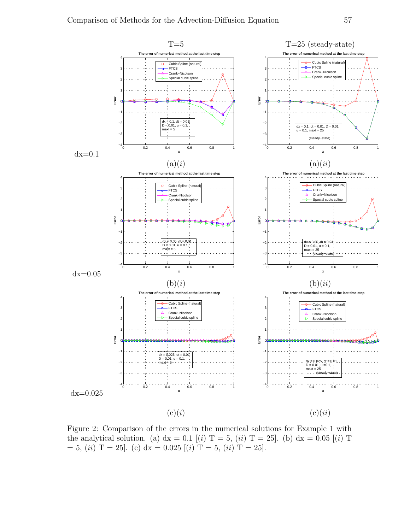

Figure 2: Comparison of the errors in the numerical solutions for Example 1 with the analytical solution. (a) dx = 0.1 [(i) T = 5, (ii) T = 25]. (b) dx = 0.05 [(i) T  $= 5, (ii)$  T = 25]. (c) dx = 0.025 [(i) T = 5, (ii) T = 25].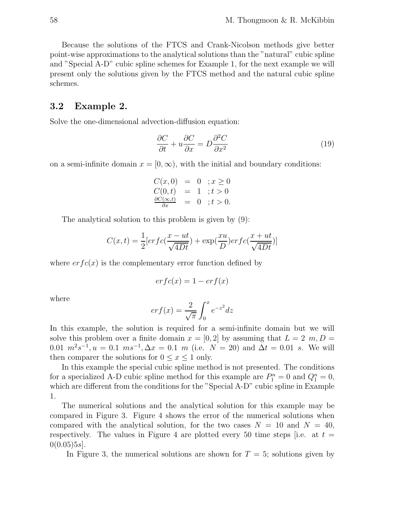Because the solutions of the FTCS and Crank-Nicolson methods give better point-wise approximations to the analytical solutions than the "natural" cubic spline and "Special A-D" cubic spline schemes for Example 1, for the next example we will present only the solutions given by the FTCS method and the natural cubic spline schemes.

### 3.2 Example 2.

Solve the one-dimensional advection-diffusion equation:

$$
\frac{\partial C}{\partial t} + u \frac{\partial C}{\partial x} = D \frac{\partial^2 C}{\partial x^2}
$$
 (19)

on a semi-infinite domain  $x = [0, \infty)$ , with the initial and boundary conditions:

$$
C(x, 0) = 0 ; x \ge 0C(0, t) = 1 ; t > 0\frac{\partial C(\infty, t)}{\partial x} = 0 ; t > 0.
$$

The analytical solution to this problem is given by (9):

$$
C(x,t) = \frac{1}{2} [erfc(\frac{x - ut}{\sqrt{4Dt}}) + \exp(\frac{xu}{D})erfc(\frac{x + ut}{\sqrt{4Dt}})]
$$

where  $erfc(x)$  is the complementary error function defined by

$$
erfc(x) = 1 - erf(x)
$$

where

$$
erf(x) = \frac{2}{\sqrt{\pi}} \int_0^x e^{-z^2} dz
$$

In this example, the solution is required for a semi-infinite domain but we will solve this problem over a finite domain  $x = [0, 2]$  by assuming that  $L = 2$  m,  $D =$ 0.01  $m^2 s^{-1}$ ,  $u = 0.1$   $ms^{-1}$ ,  $\Delta x = 0.1$  m (i.e.  $N = 20$ ) and  $\Delta t = 0.01$  s. We will then comparer the solutions for  $0 \leq x \leq 1$  only.

In this example the special cubic spline method is not presented. The conditions for a specialized A-D cubic spline method for this example are  $P_1^n = 0$  and  $Q_1^n = 0$ , which are different from the conditions for the "Special A-D" cubic spline in Example 1.

The numerical solutions and the analytical solution for this example may be compared in Figure 3. Figure 4 shows the error of the numerical solutions when compared with the analytical solution, for the two cases  $N = 10$  and  $N = 40$ , respectively. The values in Figure 4 are plotted every 50 time steps [i.e. at  $t =$  $0(0.05)5s$ .

In Figure 3, the numerical solutions are shown for  $T = 5$ ; solutions given by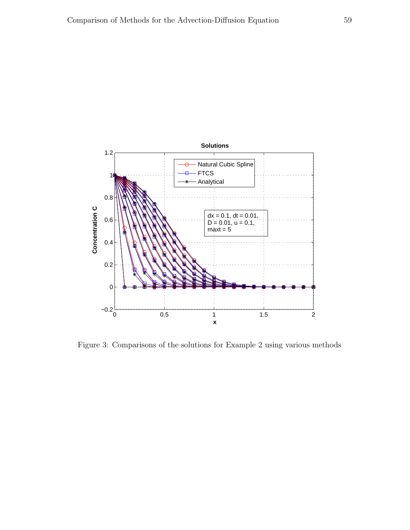

Figure 3: Comparisons of the solutions for Example 2 using various methods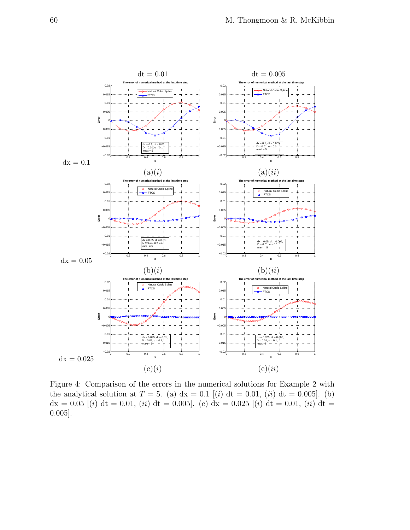

Figure 4: Comparison of the errors in the numerical solutions for Example 2 with the analytical solution at  $T = 5$ . (a)  $dx = 0.1$  [(i)  $dt = 0.01$ , (ii)  $dt = 0.005$ ]. (b)  $dx = 0.05$  [(i) dt = 0.01, (ii) dt = 0.005]. (c) dx = 0.025 [(i) dt = 0.01, (ii) dt = 0.005].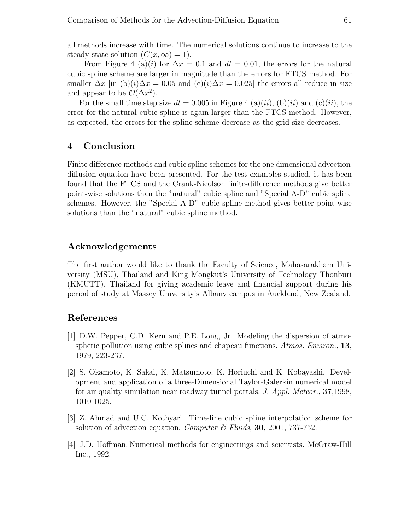all methods increase with time. The numerical solutions continue to increase to the steady state solution  $(C(x, \infty) = 1)$ .

From Figure 4 (a)(i) for  $\Delta x = 0.1$  and  $dt = 0.01$ , the errors for the natural cubic spline scheme are larger in magnitude than the errors for FTCS method. For smaller  $\Delta x$  [in (b)(i) $\Delta x = 0.05$  and (c)(i) $\Delta x = 0.025$ ] the errors all reduce in size and appear to be  $\mathcal{O}(\Delta x^2)$ .

For the small time step size  $dt = 0.005$  in Figure 4 (a)(ii), (b)(ii) and (c)(ii), the error for the natural cubic spline is again larger than the FTCS method. However, as expected, the errors for the spline scheme decrease as the grid-size decreases.

# 4 Conclusion

Finite difference methods and cubic spline schemes for the one dimensional advectiondiffusion equation have been presented. For the test examples studied, it has been found that the FTCS and the Crank-Nicolson finite-difference methods give better point-wise solutions than the "natural" cubic spline and "Special A-D" cubic spline schemes. However, the "Special A-D" cubic spline method gives better point-wise solutions than the "natural" cubic spline method.

# Acknowledgements

The first author would like to thank the Faculty of Science, Mahasarakham University (MSU), Thailand and King Mongkut's University of Technology Thonburi (KMUTT), Thailand for giving academic leave and financial support during his period of study at Massey University's Albany campus in Auckland, New Zealand.

### References

- [1] D.W. Pepper, C.D. Kern and P.E. Long, Jr. Modeling the dispersion of atmospheric pollution using cubic splines and chapeau functions. Atmos. Environ., 13, 1979, 223-237.
- [2] S. Okamoto, K. Sakai, K. Matsumoto, K. Horiuchi and K. Kobayashi. Development and application of a three-Dimensional Taylor-Galerkin numerical model for air quality simulation near roadway tunnel portals. J. Appl. Meteor., 37,1998, 1010-1025.
- [3] Z. Ahmad and U.C. Kothyari. Time-line cubic spline interpolation scheme for solution of advection equation. Computer  $\mathcal{C}$  Fluids, 30, 2001, 737-752.
- [4] J.D. Hoffman. Numerical methods for engineerings and scientists. McGraw-Hill Inc., 1992.